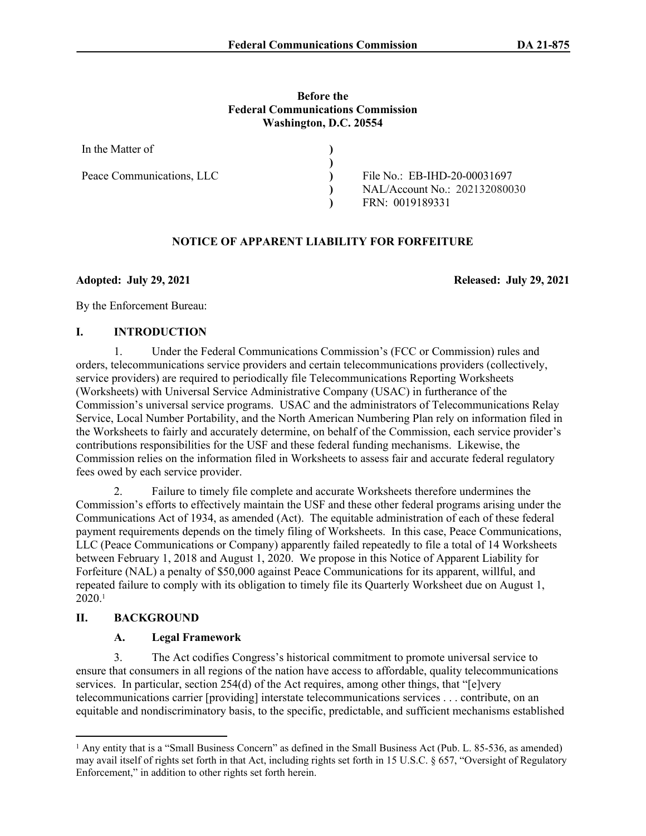#### **Before the Federal Communications Commission Washington, D.C. 20554**

| In the Matter of          |                               |
|---------------------------|-------------------------------|
|                           |                               |
| Peace Communications, LLC | File No.: EB-IHD-20-00031697  |
|                           | NAL/Account No.: 202132080030 |
|                           | FRN: 0019189331               |

# **NOTICE OF APPARENT LIABILITY FOR FORFEITURE**

**Adopted: July 29, 2021 Released: July 29, 2021**

By the Enforcement Bureau:

### **I. INTRODUCTION**

1. Under the Federal Communications Commission's (FCC or Commission) rules and orders, telecommunications service providers and certain telecommunications providers (collectively, service providers) are required to periodically file Telecommunications Reporting Worksheets (Worksheets) with Universal Service Administrative Company (USAC) in furtherance of the Commission's universal service programs. USAC and the administrators of Telecommunications Relay Service, Local Number Portability, and the North American Numbering Plan rely on information filed in the Worksheets to fairly and accurately determine, on behalf of the Commission, each service provider's contributions responsibilities for the USF and these federal funding mechanisms. Likewise, the Commission relies on the information filed in Worksheets to assess fair and accurate federal regulatory fees owed by each service provider.

2. Failure to timely file complete and accurate Worksheets therefore undermines the Commission's efforts to effectively maintain the USF and these other federal programs arising under the Communications Act of 1934, as amended (Act). The equitable administration of each of these federal payment requirements depends on the timely filing of Worksheets. In this case, Peace Communications, LLC (Peace Communications or Company) apparently failed repeatedly to file a total of 14 Worksheets between February 1, 2018 and August 1, 2020. We propose in this Notice of Apparent Liability for Forfeiture (NAL) a penalty of \$50,000 against Peace Communications for its apparent, willful, and repeated failure to comply with its obligation to timely file its Quarterly Worksheet due on August 1,  $2020.1$ 

## **II. BACKGROUND**

## **A. Legal Framework**

3. The Act codifies Congress's historical commitment to promote universal service to ensure that consumers in all regions of the nation have access to affordable, quality telecommunications services. In particular, section 254(d) of the Act requires, among other things, that "[e]very telecommunications carrier [providing] interstate telecommunications services . . . contribute, on an equitable and nondiscriminatory basis, to the specific, predictable, and sufficient mechanisms established

<sup>&</sup>lt;sup>1</sup> Any entity that is a "Small Business Concern" as defined in the Small Business Act (Pub. L. 85-536, as amended) may avail itself of rights set forth in that Act, including rights set forth in 15 U.S.C. § 657, "Oversight of Regulatory Enforcement," in addition to other rights set forth herein.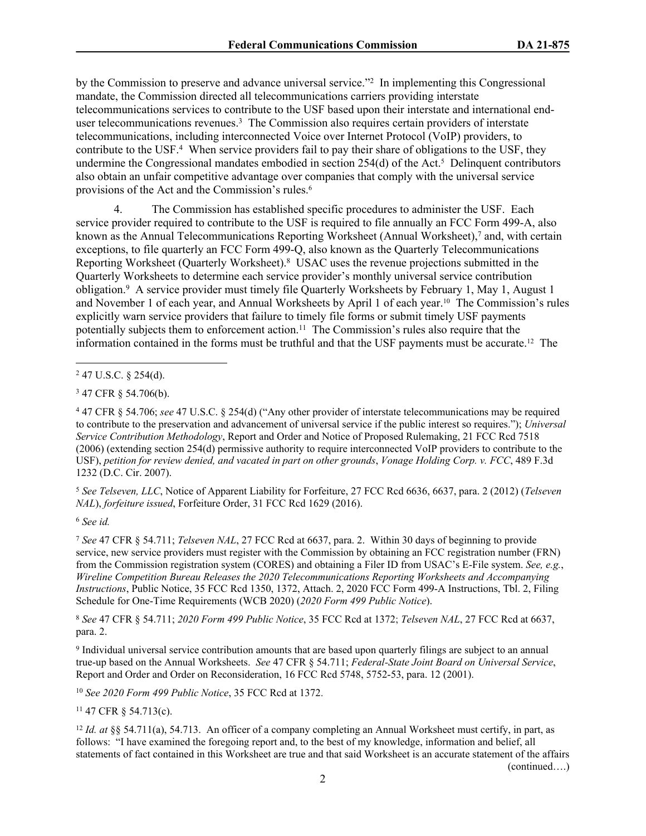by the Commission to preserve and advance universal service."<sup>2</sup> In implementing this Congressional mandate, the Commission directed all telecommunications carriers providing interstate telecommunications services to contribute to the USF based upon their interstate and international enduser telecommunications revenues.<sup>3</sup> The Commission also requires certain providers of interstate telecommunications, including interconnected Voice over Internet Protocol (VoIP) providers, to contribute to the USF.<sup>4</sup> When service providers fail to pay their share of obligations to the USF, they undermine the Congressional mandates embodied in section 254(d) of the Act.<sup>5</sup> Delinquent contributors also obtain an unfair competitive advantage over companies that comply with the universal service provisions of the Act and the Commission's rules.<sup>6</sup>

4. The Commission has established specific procedures to administer the USF. Each service provider required to contribute to the USF is required to file annually an FCC Form 499-A, also known as the Annual Telecommunications Reporting Worksheet (Annual Worksheet),<sup>7</sup> and, with certain exceptions, to file quarterly an FCC Form 499-Q, also known as the Quarterly Telecommunications Reporting Worksheet (Quarterly Worksheet).<sup>8</sup> USAC uses the revenue projections submitted in the Quarterly Worksheets to determine each service provider's monthly universal service contribution obligation.<sup>9</sup> A service provider must timely file Quarterly Worksheets by February 1, May 1, August 1 and November 1 of each year, and Annual Worksheets by April 1 of each year.10 The Commission's rules explicitly warn service providers that failure to timely file forms or submit timely USF payments potentially subjects them to enforcement action.<sup>11</sup> The Commission's rules also require that the information contained in the forms must be truthful and that the USF payments must be accurate.12 The

4 47 CFR § 54.706; *see* 47 U.S.C. § 254(d) ("Any other provider of interstate telecommunications may be required to contribute to the preservation and advancement of universal service if the public interest so requires."); *Universal Service Contribution Methodology*, Report and Order and Notice of Proposed Rulemaking, 21 FCC Rcd 7518 (2006) (extending section 254(d) permissive authority to require interconnected VoIP providers to contribute to the USF), *petition for review denied, and vacated in part on other grounds*, *Vonage Holding Corp. v. FCC*, 489 F.3d 1232 (D.C. Cir. 2007).

<sup>5</sup> *See Telseven, LLC*, Notice of Apparent Liability for Forfeiture, 27 FCC Rcd 6636, 6637, para. 2 (2012) (*Telseven NAL*), *forfeiture issued*, Forfeiture Order, 31 FCC Rcd 1629 (2016).

<sup>6</sup> *See id.*

<sup>7</sup> *See* 47 CFR § 54.711; *Telseven NAL*, 27 FCC Rcd at 6637, para. 2. Within 30 days of beginning to provide service, new service providers must register with the Commission by obtaining an FCC registration number (FRN) from the Commission registration system (CORES) and obtaining a Filer ID from USAC's E-File system. *See, e.g.*, *Wireline Competition Bureau Releases the 2020 Telecommunications Reporting Worksheets and Accompanying Instructions*, Public Notice, 35 FCC Rcd 1350, 1372, Attach. 2, 2020 FCC Form 499-A Instructions, Tbl. 2, Filing Schedule for One-Time Requirements (WCB 2020) (*2020 Form 499 Public Notice*).

<sup>8</sup> *See* 47 CFR § 54.711; *2020 Form 499 Public Notice*, 35 FCC Rcd at 1372; *Telseven NAL*, 27 FCC Rcd at 6637, para. 2.

9 Individual universal service contribution amounts that are based upon quarterly filings are subject to an annual true-up based on the Annual Worksheets. *See* 47 CFR § 54.711; *Federal-State Joint Board on Universal Service*, Report and Order and Order on Reconsideration, 16 FCC Rcd 5748, 5752-53, para. 12 (2001).

<sup>10</sup> *See 2020 Form 499 Public Notice*, 35 FCC Rcd at 1372.

<sup>11</sup> 47 CFR § 54.713(c).

<sup>12</sup> *Id. at* §§ 54.711(a), 54.713. An officer of a company completing an Annual Worksheet must certify, in part, as follows: "I have examined the foregoing report and, to the best of my knowledge, information and belief, all statements of fact contained in this Worksheet are true and that said Worksheet is an accurate statement of the affairs (continued….)

 $247$  U.S.C. § 254(d).

<sup>3</sup> 47 CFR § 54.706(b).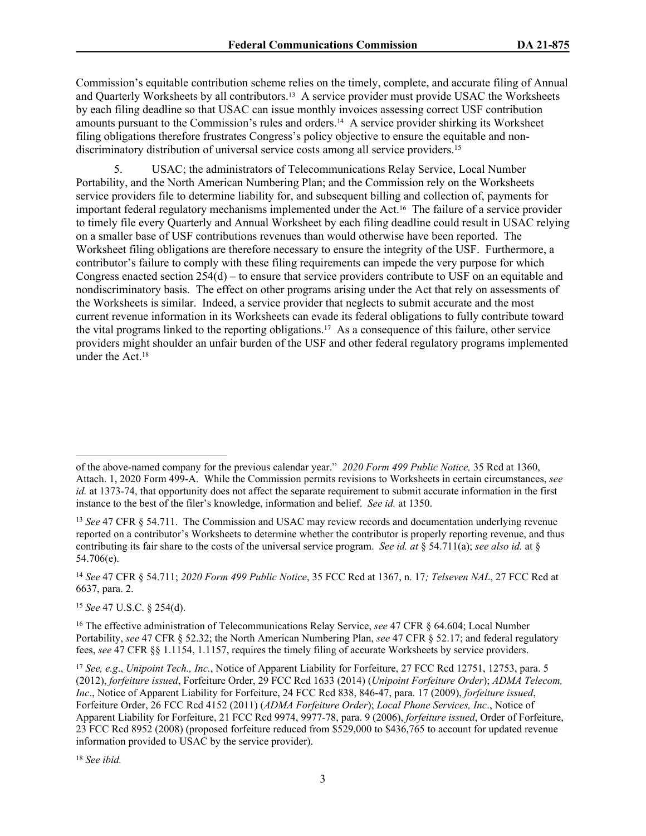Commission's equitable contribution scheme relies on the timely, complete, and accurate filing of Annual and Quarterly Worksheets by all contributors.13 A service provider must provide USAC the Worksheets by each filing deadline so that USAC can issue monthly invoices assessing correct USF contribution amounts pursuant to the Commission's rules and orders.14 A service provider shirking its Worksheet filing obligations therefore frustrates Congress's policy objective to ensure the equitable and nondiscriminatory distribution of universal service costs among all service providers.<sup>15</sup>

5. USAC; the administrators of Telecommunications Relay Service, Local Number Portability, and the North American Numbering Plan; and the Commission rely on the Worksheets service providers file to determine liability for, and subsequent billing and collection of, payments for important federal regulatory mechanisms implemented under the Act.16 The failure of a service provider to timely file every Quarterly and Annual Worksheet by each filing deadline could result in USAC relying on a smaller base of USF contributions revenues than would otherwise have been reported. The Worksheet filing obligations are therefore necessary to ensure the integrity of the USF. Furthermore, a contributor's failure to comply with these filing requirements can impede the very purpose for which Congress enacted section 254(d) – to ensure that service providers contribute to USF on an equitable and nondiscriminatory basis. The effect on other programs arising under the Act that rely on assessments of the Worksheets is similar. Indeed, a service provider that neglects to submit accurate and the most current revenue information in its Worksheets can evade its federal obligations to fully contribute toward the vital programs linked to the reporting obligations.17 As a consequence of this failure, other service providers might shoulder an unfair burden of the USF and other federal regulatory programs implemented under the Act.<sup>18</sup>

<sup>15</sup> *See* 47 U.S.C. § 254(d).

<sup>18</sup> *See ibid.*

of the above-named company for the previous calendar year." *2020 Form 499 Public Notice,* 35 Rcd at 1360, Attach. 1, 2020 Form 499-A. While the Commission permits revisions to Worksheets in certain circumstances, *see id.* at 1373-74, that opportunity does not affect the separate requirement to submit accurate information in the first instance to the best of the filer's knowledge, information and belief. *See id.* at 1350.

<sup>13</sup> *See* 47 CFR § 54.711. The Commission and USAC may review records and documentation underlying revenue reported on a contributor's Worksheets to determine whether the contributor is properly reporting revenue, and thus contributing its fair share to the costs of the universal service program. *See id. at* § 54.711(a); *see also id.* at § 54.706(e).

<sup>14</sup> *See* 47 CFR § 54.711; *2020 Form 499 Public Notice*, 35 FCC Rcd at 1367, n. 17*; Telseven NAL*, 27 FCC Rcd at 6637, para. 2.

<sup>16</sup> The effective administration of Telecommunications Relay Service, *see* 47 CFR § 64.604; Local Number Portability, *see* 47 CFR § 52.32; the North American Numbering Plan, *see* 47 CFR § 52.17; and federal regulatory fees, *see* 47 CFR §§ 1.1154, 1.1157, requires the timely filing of accurate Worksheets by service providers.

<sup>17</sup> *See, e.g*., *Unipoint Tech., Inc.*, Notice of Apparent Liability for Forfeiture, 27 FCC Rcd 12751, 12753, para. 5 (2012), *forfeiture issued*, Forfeiture Order, 29 FCC Rcd 1633 (2014) (*Unipoint Forfeiture Order*); *ADMA Telecom, Inc*., Notice of Apparent Liability for Forfeiture, 24 FCC Rcd 838, 846-47, para. 17 (2009), *forfeiture issued*, Forfeiture Order, 26 FCC Rcd 4152 (2011) (*ADMA Forfeiture Order*); *Local Phone Services, Inc*., Notice of Apparent Liability for Forfeiture, 21 FCC Rcd 9974, 9977-78, para. 9 (2006), *forfeiture issued*, Order of Forfeiture, 23 FCC Rcd 8952 (2008) (proposed forfeiture reduced from \$529,000 to \$436,765 to account for updated revenue information provided to USAC by the service provider).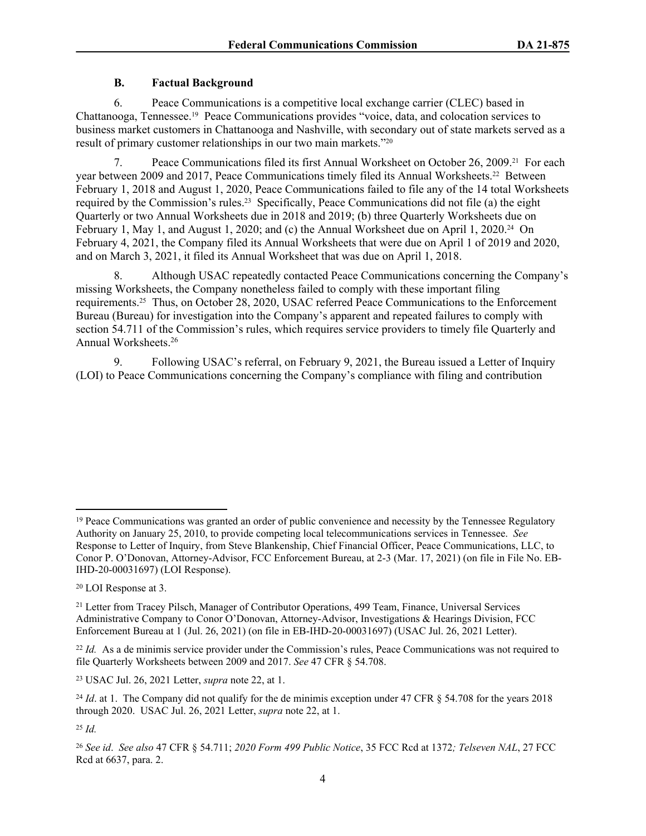## **B. Factual Background**

6. Peace Communications is a competitive local exchange carrier (CLEC) based in Chattanooga, Tennessee.19 Peace Communications provides "voice, data, and colocation services to business market customers in Chattanooga and Nashville, with secondary out of state markets served as a result of primary customer relationships in our two main markets."20

7. Peace Communications filed its first Annual Worksheet on October 26, 2009.21 For each year between 2009 and 2017, Peace Communications timely filed its Annual Worksheets.22 Between February 1, 2018 and August 1, 2020, Peace Communications failed to file any of the 14 total Worksheets required by the Commission's rules.23 Specifically, Peace Communications did not file (a) the eight Quarterly or two Annual Worksheets due in 2018 and 2019; (b) three Quarterly Worksheets due on February 1, May 1, and August 1, 2020; and (c) the Annual Worksheet due on April 1, 2020.<sup>24</sup> On February 4, 2021, the Company filed its Annual Worksheets that were due on April 1 of 2019 and 2020, and on March 3, 2021, it filed its Annual Worksheet that was due on April 1, 2018.

8. Although USAC repeatedly contacted Peace Communications concerning the Company's missing Worksheets, the Company nonetheless failed to comply with these important filing requirements.25 Thus, on October 28, 2020, USAC referred Peace Communications to the Enforcement Bureau (Bureau) for investigation into the Company's apparent and repeated failures to comply with section 54.711 of the Commission's rules, which requires service providers to timely file Quarterly and Annual Worksheets.<sup>26</sup>

9. Following USAC's referral, on February 9, 2021, the Bureau issued a Letter of Inquiry (LOI) to Peace Communications concerning the Company's compliance with filing and contribution

<sup>&</sup>lt;sup>19</sup> Peace Communications was granted an order of public convenience and necessity by the Tennessee Regulatory Authority on January 25, 2010, to provide competing local telecommunications services in Tennessee. *See*  Response to Letter of Inquiry, from Steve Blankenship, Chief Financial Officer, Peace Communications, LLC, to Conor P. O'Donovan, Attorney-Advisor, FCC Enforcement Bureau, at 2-3 (Mar. 17, 2021) (on file in File No. EB-IHD-20-00031697) (LOI Response).

<sup>20</sup> LOI Response at 3.

<sup>&</sup>lt;sup>21</sup> Letter from Tracey Pilsch, Manager of Contributor Operations, 499 Team, Finance, Universal Services Administrative Company to Conor O'Donovan, Attorney-Advisor, Investigations & Hearings Division, FCC Enforcement Bureau at 1 (Jul. 26, 2021) (on file in EB-IHD-20-00031697) (USAC Jul. 26, 2021 Letter).

<sup>&</sup>lt;sup>22</sup> *Id.* As a de minimis service provider under the Commission's rules, Peace Communications was not required to file Quarterly Worksheets between 2009 and 2017. *See* 47 CFR § 54.708.

<sup>23</sup> USAC Jul. 26, 2021 Letter, *supra* note 22, at 1.

<sup>&</sup>lt;sup>24</sup> *Id.* at 1. The Company did not qualify for the de minimis exception under 47 CFR  $\S$  54.708 for the years 2018 through 2020. USAC Jul. 26, 2021 Letter, *supra* note 22, at 1.

<sup>25</sup> *Id.*

<sup>26</sup> *See id*. *See also* 47 CFR § 54.711; *2020 Form 499 Public Notice*, 35 FCC Rcd at 1372*; Telseven NAL*, 27 FCC Rcd at 6637, para. 2.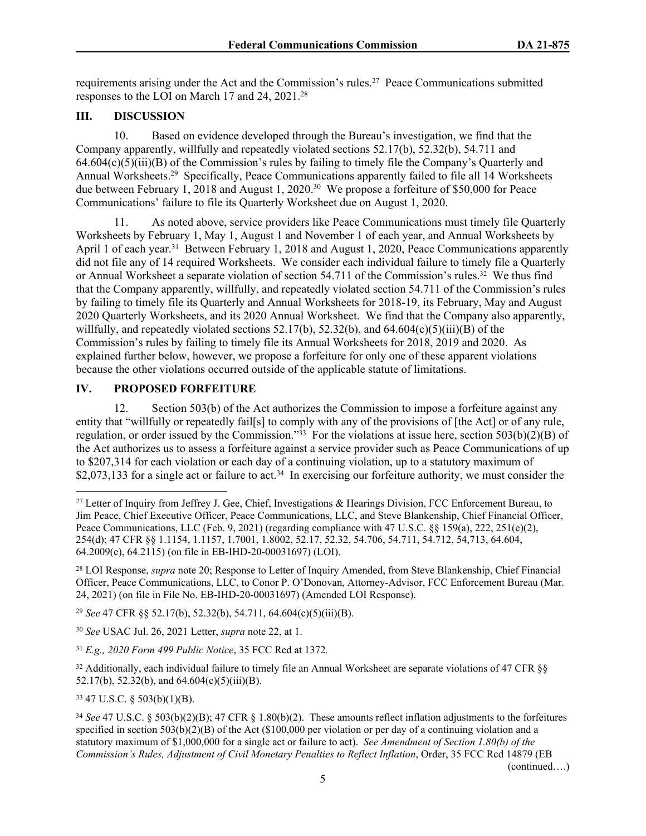requirements arising under the Act and the Commission's rules.<sup>27</sup> Peace Communications submitted responses to the LOI on March 17 and 24, 2021.<sup>28</sup>

# **III. DISCUSSION**

10. Based on evidence developed through the Bureau's investigation, we find that the Company apparently, willfully and repeatedly violated sections 52.17(b), 52.32(b), 54.711 and 64.604(c)(5)(iii)(B) of the Commission's rules by failing to timely file the Company's Quarterly and Annual Worksheets.<sup>29</sup> Specifically, Peace Communications apparently failed to file all 14 Worksheets due between February 1, 2018 and August 1, 2020.<sup>30</sup> We propose a forfeiture of \$50,000 for Peace Communications' failure to file its Quarterly Worksheet due on August 1, 2020.

11. As noted above, service providers like Peace Communications must timely file Quarterly Worksheets by February 1, May 1, August 1 and November 1 of each year, and Annual Worksheets by April 1 of each year.<sup>31</sup> Between February 1, 2018 and August 1, 2020, Peace Communications apparently did not file any of 14 required Worksheets. We consider each individual failure to timely file a Quarterly or Annual Worksheet a separate violation of section 54.711 of the Commission's rules.<sup>32</sup> We thus find that the Company apparently, willfully, and repeatedly violated section 54.711 of the Commission's rules by failing to timely file its Quarterly and Annual Worksheets for 2018-19, its February, May and August 2020 Quarterly Worksheets, and its 2020 Annual Worksheet. We find that the Company also apparently, willfully, and repeatedly violated sections  $52.17(b)$ ,  $52.32(b)$ , and  $64.604(c)(5)(iii)(B)$  of the Commission's rules by failing to timely file its Annual Worksheets for 2018, 2019 and 2020. As explained further below, however, we propose a forfeiture for only one of these apparent violations because the other violations occurred outside of the applicable statute of limitations.

# **IV. PROPOSED FORFEITURE**

12. Section 503(b) of the Act authorizes the Commission to impose a forfeiture against any entity that "willfully or repeatedly fail[s] to comply with any of the provisions of [the Act] or of any rule, regulation, or order issued by the Commission."<sup>33</sup> For the violations at issue here, section 503(b)(2)(B) of the Act authorizes us to assess a forfeiture against a service provider such as Peace Communications of up to \$207,314 for each violation or each day of a continuing violation, up to a statutory maximum of \$2,073,133 for a single act or failure to act.<sup>34</sup> In exercising our forfeiture authority, we must consider the

<sup>29</sup> *See* 47 CFR §§ 52.17(b), 52.32(b), 54.711, 64.604(c)(5)(iii)(B).

<sup>30</sup> *See* USAC Jul. 26, 2021 Letter, *supra* note 22, at 1.

<sup>31</sup> *E.g., 2020 Form 499 Public Notice*, 35 FCC Rcd at 1372*.*

<sup>32</sup> Additionally, each individual failure to timely file an Annual Worksheet are separate violations of 47 CFR §§ 52.17(b), 52.32(b), and  $64.604(c)(5)(iii)(B)$ .

<sup>33</sup> 47 U.S.C. § 503(b)(1)(B).

(continued….)

<sup>&</sup>lt;sup>27</sup> Letter of Inquiry from Jeffrey J. Gee, Chief, Investigations & Hearings Division, FCC Enforcement Bureau, to Jim Peace, Chief Executive Officer, Peace Communications, LLC, and Steve Blankenship, Chief Financial Officer, Peace Communications, LLC (Feb. 9, 2021) (regarding compliance with 47 U.S.C. §§ 159(a), 222, 251(e)(2), 254(d); 47 CFR §§ 1.1154, 1.1157, 1.7001, 1.8002, 52.17, 52.32, 54.706, 54.711, 54.712, 54,713, 64.604, 64.2009(e), 64.2115) (on file in EB-IHD-20-00031697) (LOI).

<sup>28</sup> LOI Response, *supra* note 20; Response to Letter of Inquiry Amended, from Steve Blankenship, Chief Financial Officer, Peace Communications, LLC, to Conor P. O'Donovan, Attorney-Advisor, FCC Enforcement Bureau (Mar. 24, 2021) (on file in File No. EB-IHD-20-00031697) (Amended LOI Response).

<sup>34</sup> *See* 47 U.S.C. § 503(b)(2)(B); 47 CFR § 1.80(b)(2). These amounts reflect inflation adjustments to the forfeitures specified in section 503(b)(2)(B) of the Act (\$100,000 per violation or per day of a continuing violation and a statutory maximum of \$1,000,000 for a single act or failure to act). *See Amendment of Section 1.80(b) of the Commission's Rules, Adjustment of Civil Monetary Penalties to Reflect Inflation*, Order, 35 FCC Rcd 14879 (EB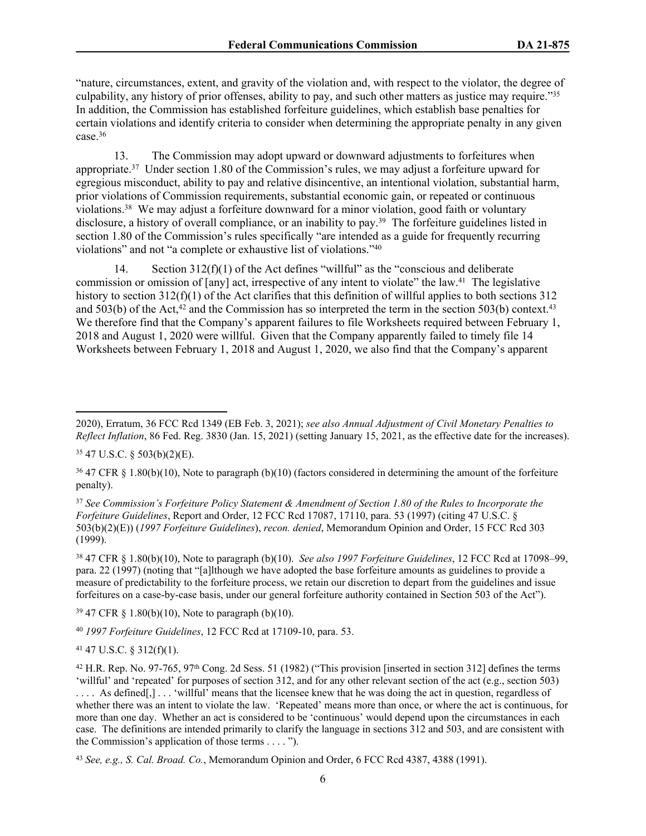"nature, circumstances, extent, and gravity of the violation and, with respect to the violator, the degree of culpability, any history of prior offenses, ability to pay, and such other matters as justice may require."<sup>35</sup> In addition, the Commission has established forfeiture guidelines, which establish base penalties for certain violations and identify criteria to consider when determining the appropriate penalty in any given case. $36$ 

13. The Commission may adopt upward or downward adjustments to forfeitures when appropriate.<sup>37</sup> Under section 1.80 of the Commission's rules, we may adjust a forfeiture upward for egregious misconduct, ability to pay and relative disincentive, an intentional violation, substantial harm, prior violations of Commission requirements, substantial economic gain, or repeated or continuous violations.<sup>38</sup> We may adjust a forfeiture downward for a minor violation, good faith or voluntary disclosure, a history of overall compliance, or an inability to pay.<sup>39</sup> The forfeiture guidelines listed in section 1.80 of the Commission's rules specifically "are intended as a guide for frequently recurring violations" and not "a complete or exhaustive list of violations."<sup>40</sup>

14. Section 312(f)(1) of the Act defines "willful" as the "conscious and deliberate commission or omission of [any] act, irrespective of any intent to violate" the law.<sup>41</sup> The legislative history to section 312(f)(1) of the Act clarifies that this definition of willful applies to both sections 312 and 503(b) of the Act,<sup>42</sup> and the Commission has so interpreted the term in the section 503(b) context.<sup>43</sup> We therefore find that the Company's apparent failures to file Worksheets required between February 1, 2018 and August 1, 2020 were willful. Given that the Company apparently failed to timely file 14 Worksheets between February 1, 2018 and August 1, 2020, we also find that the Company's apparent

<sup>37</sup> *See Commission's Forfeiture Policy Statement & Amendment of Section 1.80 of the Rules to Incorporate the Forfeiture Guidelines*, Report and Order, 12 FCC Rcd 17087, 17110, para. 53 (1997) (citing 47 U.S.C. § 503(b)(2)(E)) (*1997 Forfeiture Guidelines*), *recon. denied*, Memorandum Opinion and Order, 15 FCC Rcd 303  $(1999)$ .

<sup>38</sup> 47 CFR § 1.80(b)(10), Note to paragraph (b)(10). *See also 1997 Forfeiture Guidelines*, 12 FCC Rcd at 17098–99, para. 22 (1997) (noting that "[a]lthough we have adopted the base forfeiture amounts as guidelines to provide a measure of predictability to the forfeiture process, we retain our discretion to depart from the guidelines and issue forfeitures on a case-by-case basis, under our general forfeiture authority contained in Section 503 of the Act").

 $39\,47$  CFR § 1.80(b)(10), Note to paragraph (b)(10).

<sup>40</sup> *1997 Forfeiture Guidelines*, 12 FCC Rcd at 17109-10, para. 53.

 $41$  47 U.S.C. § 312(f)(1).

<sup>2020),</sup> Erratum, 36 FCC Rcd 1349 (EB Feb. 3, 2021); *see also Annual Adjustment of Civil Monetary Penalties to Reflect Inflation*, 86 Fed. Reg. 3830 (Jan. 15, 2021) (setting January 15, 2021, as the effective date for the increases).

<sup>35</sup> 47 U.S.C. § 503(b)(2)(E).

<sup>36</sup> 47 CFR § 1.80(b)(10), Note to paragraph (b)(10) (factors considered in determining the amount of the forfeiture penalty).

 $42$  H.R. Rep. No. 97-765, 97<sup>th</sup> Cong. 2d Sess. 51 (1982) ("This provision [inserted in section 312] defines the terms 'willful' and 'repeated' for purposes of section 312, and for any other relevant section of the act (e.g., section 503)

<sup>....</sup> As defined[,] ... 'willful' means that the licensee knew that he was doing the act in question, regardless of whether there was an intent to violate the law. 'Repeated' means more than once, or where the act is continuous, for more than one day. Whether an act is considered to be 'continuous' would depend upon the circumstances in each case. The definitions are intended primarily to clarify the language in sections 312 and 503, and are consistent with the Commission's application of those terms . . . . ").

<sup>43</sup> *See, e.g., S. Cal. Broad. Co.*, Memorandum Opinion and Order, 6 FCC Rcd 4387, 4388 (1991).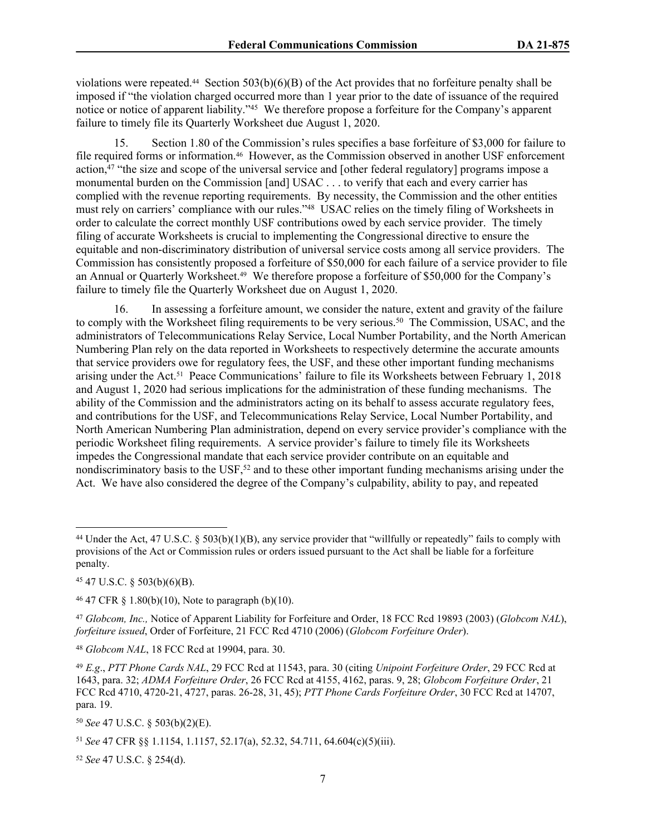violations were repeated.<sup>44</sup> Section 503(b)(6)(B) of the Act provides that no forfeiture penalty shall be imposed if "the violation charged occurred more than 1 year prior to the date of issuance of the required notice or notice of apparent liability."<sup>45</sup> We therefore propose a forfeiture for the Company's apparent failure to timely file its Quarterly Worksheet due August 1, 2020.

15. Section 1.80 of the Commission's rules specifies a base forfeiture of \$3,000 for failure to file required forms or information.<sup>46</sup> However, as the Commission observed in another USF enforcement action, $47$  "the size and scope of the universal service and [other federal regulatory] programs impose a monumental burden on the Commission [and] USAC . . . to verify that each and every carrier has complied with the revenue reporting requirements. By necessity, the Commission and the other entities must rely on carriers' compliance with our rules."<sup>48</sup> USAC relies on the timely filing of Worksheets in order to calculate the correct monthly USF contributions owed by each service provider. The timely filing of accurate Worksheets is crucial to implementing the Congressional directive to ensure the equitable and non-discriminatory distribution of universal service costs among all service providers. The Commission has consistently proposed a forfeiture of \$50,000 for each failure of a service provider to file an Annual or Quarterly Worksheet.49 We therefore propose a forfeiture of \$50,000 for the Company's failure to timely file the Quarterly Worksheet due on August 1, 2020.

16. In assessing a forfeiture amount, we consider the nature, extent and gravity of the failure to comply with the Worksheet filing requirements to be very serious.<sup>50</sup> The Commission, USAC, and the administrators of Telecommunications Relay Service, Local Number Portability, and the North American Numbering Plan rely on the data reported in Worksheets to respectively determine the accurate amounts that service providers owe for regulatory fees, the USF, and these other important funding mechanisms arising under the Act.51 Peace Communications' failure to file its Worksheets between February 1, 2018 and August 1, 2020 had serious implications for the administration of these funding mechanisms. The ability of the Commission and the administrators acting on its behalf to assess accurate regulatory fees, and contributions for the USF, and Telecommunications Relay Service, Local Number Portability, and North American Numbering Plan administration, depend on every service provider's compliance with the periodic Worksheet filing requirements. A service provider's failure to timely file its Worksheets impedes the Congressional mandate that each service provider contribute on an equitable and nondiscriminatory basis to the USF,<sup>52</sup> and to these other important funding mechanisms arising under the Act. We have also considered the degree of the Company's culpability, ability to pay, and repeated

<sup>45</sup> 47 U.S.C. § 503(b)(6)(B).

<sup>48</sup> *Globcom NAL*, 18 FCC Rcd at 19904, para. 30.

<sup>50</sup> *See* 47 U.S.C. § 503(b)(2)(E).

<sup>52</sup> *See* 47 U.S.C. § 254(d).

<sup>44</sup> Under the Act, 47 U.S.C. § 503(b)(1)(B), any service provider that "willfully or repeatedly" fails to comply with provisions of the Act or Commission rules or orders issued pursuant to the Act shall be liable for a forfeiture penalty.

 $46$  47 CFR § 1.80(b)(10), Note to paragraph (b)(10).

<sup>47</sup> *Globcom, Inc.,* Notice of Apparent Liability for Forfeiture and Order, 18 FCC Rcd 19893 (2003) (*Globcom NAL*), *forfeiture issued*, Order of Forfeiture, 21 FCC Rcd 4710 (2006) (*Globcom Forfeiture Order*).

<sup>49</sup> *E.g*., *PTT Phone Cards NAL*, 29 FCC Rcd at 11543, para. 30 (citing *Unipoint Forfeiture Order*, 29 FCC Rcd at 1643, para. 32; *ADMA Forfeiture Order*, 26 FCC Rcd at 4155, 4162, paras. 9, 28; *Globcom Forfeiture Order*, 21 FCC Rcd 4710, 4720-21, 4727, paras. 26-28, 31, 45); *PTT Phone Cards Forfeiture Order*, 30 FCC Rcd at 14707, para. 19.

<sup>51</sup> *See* 47 CFR §§ 1.1154, 1.1157, 52.17(a), 52.32, 54.711, 64.604(c)(5)(iii).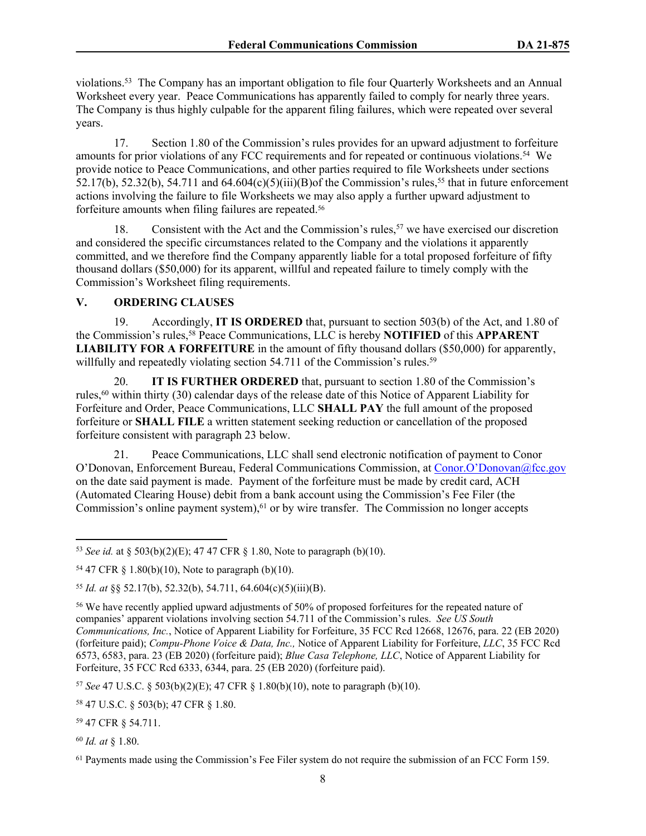violations.<sup>53</sup> The Company has an important obligation to file four Quarterly Worksheets and an Annual Worksheet every year. Peace Communications has apparently failed to comply for nearly three years. The Company is thus highly culpable for the apparent filing failures, which were repeated over several years.

17. Section 1.80 of the Commission's rules provides for an upward adjustment to forfeiture amounts for prior violations of any FCC requirements and for repeated or continuous violations.<sup>54</sup> We provide notice to Peace Communications, and other parties required to file Worksheets under sections 52.17(b), 52.32(b), 54.711 and 64.604(c)(5)(iii)(B)of the Commission's rules,<sup>55</sup> that in future enforcement actions involving the failure to file Worksheets we may also apply a further upward adjustment to forfeiture amounts when filing failures are repeated.<sup>56</sup>

18. Consistent with the Act and the Commission's rules,  $57$  we have exercised our discretion and considered the specific circumstances related to the Company and the violations it apparently committed, and we therefore find the Company apparently liable for a total proposed forfeiture of fifty thousand dollars (\$50,000) for its apparent, willful and repeated failure to timely comply with the Commission's Worksheet filing requirements.

### **V. ORDERING CLAUSES**

19. Accordingly, **IT IS ORDERED** that, pursuant to section 503(b) of the Act, and 1.80 of the Commission's rules,<sup>58</sup> Peace Communications, LLC is hereby **NOTIFIED** of this **APPARENT LIABILITY FOR A FORFEITURE** in the amount of fifty thousand dollars (\$50,000) for apparently, willfully and repeatedly violating section  $54.711$  of the Commission's rules.<sup>59</sup>

20. **IT IS FURTHER ORDERED** that, pursuant to section 1.80 of the Commission's rules,<sup>60</sup> within thirty (30) calendar days of the release date of this Notice of Apparent Liability for Forfeiture and Order, Peace Communications, LLC **SHALL PAY** the full amount of the proposed forfeiture or **SHALL FILE** a written statement seeking reduction or cancellation of the proposed forfeiture consistent with paragraph 23 below.

21. Peace Communications, LLC shall send electronic notification of payment to Conor O'Donovan, Enforcement Bureau, Federal Communications Commission, at [Conor.O'Donovan@fcc.gov](mailto:RROGWireFaxes@fcc.gov)  on the date said payment is made. Payment of the forfeiture must be made by credit card, ACH (Automated Clearing House) debit from a bank account using the Commission's Fee Filer (the Commission's online payment system),  $61$  or by wire transfer. The Commission no longer accepts

<sup>55</sup> *Id. at* §§ 52.17(b), 52.32(b), 54.711, 64.604(c)(5)(iii)(B).

<sup>57</sup> *See* 47 U.S.C. § 503(b)(2)(E); 47 CFR § 1.80(b)(10), note to paragraph (b)(10).

<sup>58</sup> 47 U.S.C. § 503(b); 47 CFR § 1.80.

<sup>59</sup> 47 CFR § 54.711.

<sup>60</sup> *Id. at* § 1.80.

<sup>53</sup> *See id.* at § 503(b)(2)(E); 47 47 CFR § 1.80, Note to paragraph (b)(10).

<sup>54</sup> 47 CFR § 1.80(b)(10), Note to paragraph (b)(10).

<sup>56</sup> We have recently applied upward adjustments of 50% of proposed forfeitures for the repeated nature of companies' apparent violations involving section 54.711 of the Commission's rules. *See US South Communications, Inc.*, Notice of Apparent Liability for Forfeiture, 35 FCC Rcd 12668, 12676, para. 22 (EB 2020) (forfeiture paid); *Compu-Phone Voice & Data, Inc.,* Notice of Apparent Liability for Forfeiture, *LLC*, 35 FCC Rcd 6573, 6583, para. 23 (EB 2020) (forfeiture paid); *Blue Casa Telephone, LLC*, Notice of Apparent Liability for Forfeiture, 35 FCC Rcd 6333, 6344, para. 25 (EB 2020) (forfeiture paid).

<sup>&</sup>lt;sup>61</sup> Payments made using the Commission's Fee Filer system do not require the submission of an FCC Form 159.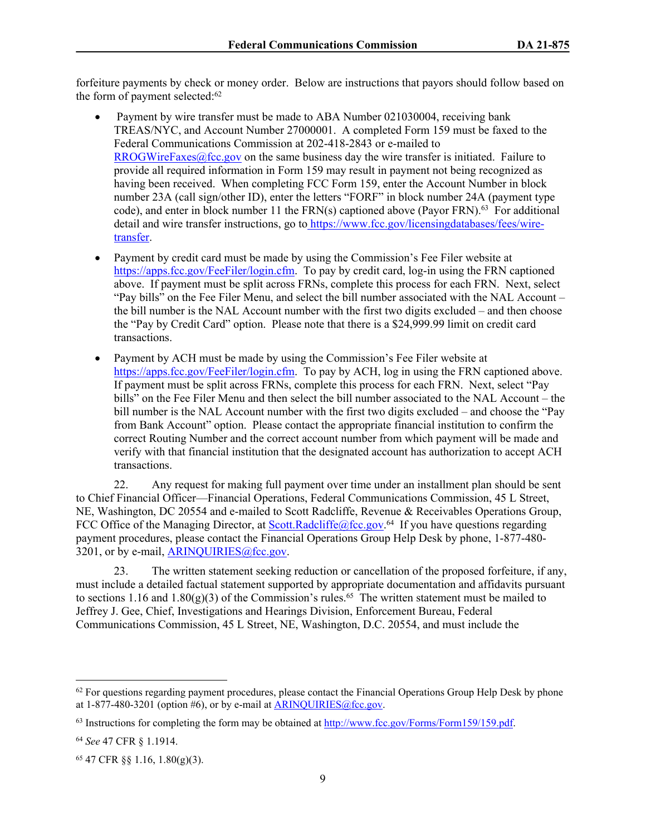forfeiture payments by check or money order. Below are instructions that payors should follow based on the form of payment selected:<sup>62</sup>

- Payment by wire transfer must be made to ABA Number 021030004, receiving bank TREAS/NYC, and Account Number 27000001. A completed Form 159 must be faxed to the Federal Communications Commission at 202-418-2843 or e-mailed to  $RROGWireFaxes@fcc.gov$  on the same business day the wire transfer is initiated. Failure to provide all required information in Form 159 may result in payment not being recognized as having been received. When completing FCC Form 159, enter the Account Number in block number 23A (call sign/other ID), enter the letters "FORF" in block number 24A (payment type code), and enter in block number 11 the  $FRN(s)$  captioned above (Payor  $FRN$ ).<sup>63</sup> For additional detail and wire transfer instructions, go to [https://www.fcc.gov/licensingdatabases/fees/wire](https://www.fcc.gov/licensingdatabases/fees/wire-transfer)[transfer.](https://www.fcc.gov/licensingdatabases/fees/wire-transfer)
- Payment by credit card must be made by using the Commission's Fee Filer website at <https://apps.fcc.gov/FeeFiler/login.cfm>. To pay by credit card, log-in using the FRN captioned above. If payment must be split across FRNs, complete this process for each FRN. Next, select "Pay bills" on the Fee Filer Menu, and select the bill number associated with the NAL Account – the bill number is the NAL Account number with the first two digits excluded – and then choose the "Pay by Credit Card" option. Please note that there is a \$24,999.99 limit on credit card transactions.
- Payment by ACH must be made by using the Commission's Fee Filer website at <https://apps.fcc.gov/FeeFiler/login.cfm>. To pay by ACH, log in using the FRN captioned above. If payment must be split across FRNs, complete this process for each FRN. Next, select "Pay bills" on the Fee Filer Menu and then select the bill number associated to the NAL Account – the bill number is the NAL Account number with the first two digits excluded – and choose the "Pay from Bank Account" option. Please contact the appropriate financial institution to confirm the correct Routing Number and the correct account number from which payment will be made and verify with that financial institution that the designated account has authorization to accept ACH transactions.

22. Any request for making full payment over time under an installment plan should be sent to Chief Financial Officer—Financial Operations, Federal Communications Commission, 45 L Street, NE, Washington, DC 20554 and e-mailed to Scott Radcliffe, Revenue & Receivables Operations Group, FCC Office of the Managing Director, at **[Scott.Radcliffe@fcc.gov.](mailto:Scott.Radcliffe@fcc.gov)**<sup>64</sup> If you have questions regarding payment procedures, please contact the Financial Operations Group Help Desk by phone, 1-877-480- 3201, or by e-mail, [ARINQUIRIES@fcc.gov.](mailto:ARINQUIRIES@fcc.gov)

23. The written statement seeking reduction or cancellation of the proposed forfeiture, if any, must include a detailed factual statement supported by appropriate documentation and affidavits pursuant to sections 1.16 and 1.80(g)(3) of the Commission's rules.<sup>65</sup> The written statement must be mailed to Jeffrey J. Gee, Chief, Investigations and Hearings Division, Enforcement Bureau, Federal Communications Commission, 45 L Street, NE, Washington, D.C. 20554, and must include the

 $62$  For questions regarding payment procedures, please contact the Financial Operations Group Help Desk by phone at  $1-877-480-3201$  (option #6), or by e-mail at ARINOUIRIES@fcc.gov.

<sup>&</sup>lt;sup>63</sup> Instructions for completing the form may be obtained at<http://www.fcc.gov/Forms/Form159/159.pdf>.

<sup>64</sup> *See* 47 CFR § 1.1914.

<sup>65</sup> 47 CFR §§ 1.16, 1.80(g)(3).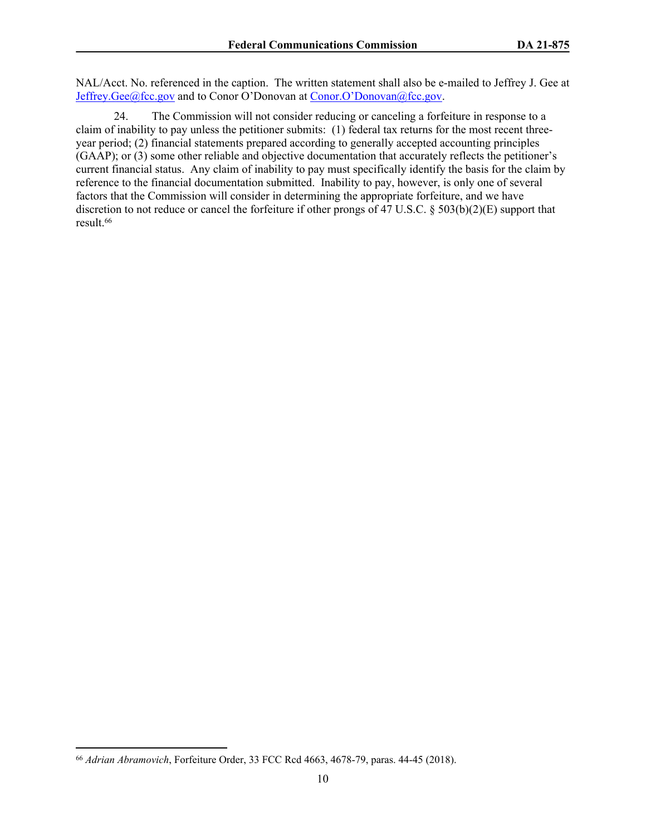NAL/Acct. No. referenced in the caption. The written statement shall also be e-mailed to Jeffrey J. Gee at [Jeffrey.Gee@fcc.gov](mailto:Jeffrey.Gee@fcc.gov) and to Conor O'Donovan at [Conor.O'Donovan@fcc.gov](mailto:David.Janas@fcc.gov).

24. The Commission will not consider reducing or canceling a forfeiture in response to a claim of inability to pay unless the petitioner submits: (1) federal tax returns for the most recent threeyear period; (2) financial statements prepared according to generally accepted accounting principles (GAAP); or (3) some other reliable and objective documentation that accurately reflects the petitioner's current financial status. Any claim of inability to pay must specifically identify the basis for the claim by reference to the financial documentation submitted. Inability to pay, however, is only one of several factors that the Commission will consider in determining the appropriate forfeiture, and we have discretion to not reduce or cancel the forfeiture if other prongs of 47 U.S.C. § 503(b)(2)(E) support that result.<sup>66</sup>

<sup>66</sup> *Adrian Abramovich*, Forfeiture Order, 33 FCC Rcd 4663, 4678-79, paras. 44-45 (2018).